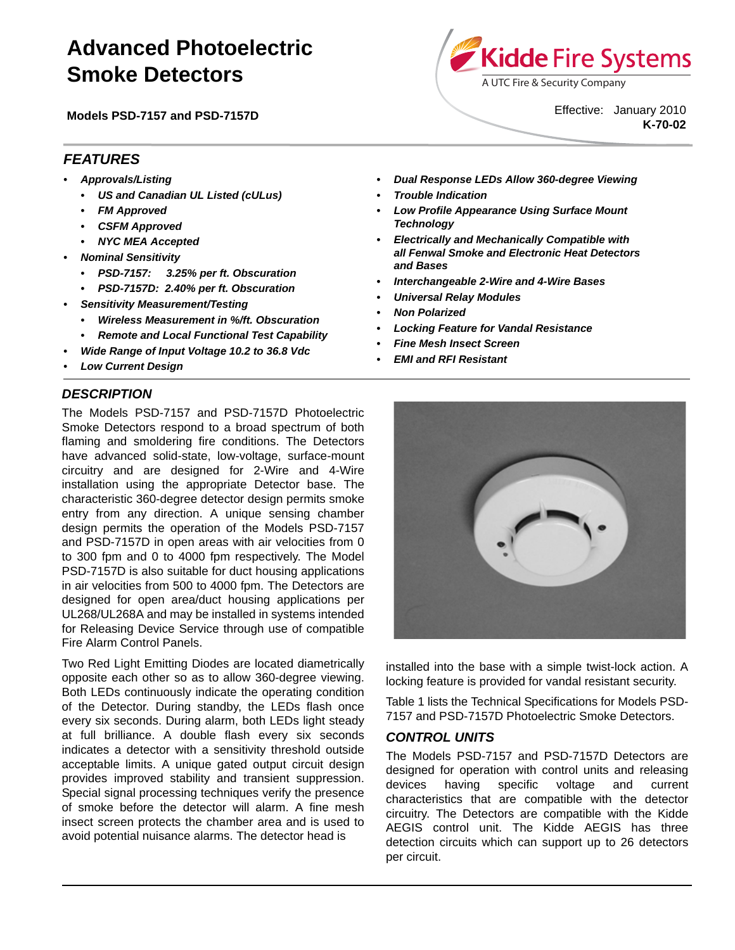# **Advanced Photoelectric Smoke Detectors**

**Models PSD-7157 and PSD-7157D**



Effective: January 2010 **K-70-02**

# *FEATURES*

- *Approvals/Listing*
	- *US and Canadian UL Listed (cULus)*
	- *FM Approved*
	- *CSFM Approved*
	- *NYC MEA Accepted*
- *Nominal Sensitivity*
	- *PSD-7157: 3.25% per ft. Obscuration*
	- *PSD-7157D: 2.40% per ft. Obscuration*
- *Sensitivity Measurement/Testing*
	- *Wireless Measurement in %/ft. Obscuration*
	- *Remote and Local Functional Test Capability*
- *Wide Range of Input Voltage 10.2 to 36.8 Vdc*
- *Low Current Design*

# *DESCRIPTION*

The Models PSD-7157 and PSD-7157D Photoelectric Smoke Detectors respond to a broad spectrum of both flaming and smoldering fire conditions. The Detectors have advanced solid-state, low-voltage, surface-mount circuitry and are designed for 2-Wire and 4-Wire installation using the appropriate Detector base. The characteristic 360-degree detector design permits smoke entry from any direction. A unique sensing chamber design permits the operation of the Models PSD-7157 and PSD-7157D in open areas with air velocities from 0 to 300 fpm and 0 to 4000 fpm respectively. The Model PSD-7157D is also suitable for duct housing applications in air velocities from 500 to 4000 fpm. The Detectors are designed for open area/duct housing applications per UL268/UL268A and may be installed in systems intended for Releasing Device Service through use of compatible Fire Alarm Control Panels.

Two Red Light Emitting Diodes are located diametrically opposite each other so as to allow 360-degree viewing. Both LEDs continuously indicate the operating condition of the Detector. During standby, the LEDs flash once every six seconds. During alarm, both LEDs light steady at full brilliance. A double flash every six seconds indicates a detector with a sensitivity threshold outside acceptable limits. A unique gated output circuit design provides improved stability and transient suppression. Special signal processing techniques verify the presence of smoke before the detector will alarm. A fine mesh insect screen protects the chamber area and is used to avoid potential nuisance alarms. The detector head is

- *Dual Response LEDs Allow 360-degree Viewing*
- *Trouble Indication*
- *Low Profile Appearance Using Surface Mount Technology*
- *Electrically and Mechanically Compatible with all Fenwal Smoke and Electronic Heat Detectors and Bases*
- *Interchangeable 2-Wire and 4-Wire Bases*
- *Universal Relay Modules*
- *Non Polarized*
- *Locking Feature for Vandal Resistance*
- *Fine Mesh Insect Screen*
- *EMI and RFI Resistant*



installed into the base with a simple twist-lock action. A locking feature is provided for vandal resistant security.

Table 1 lists the Technical Specifications for Models PSD-7157 and PSD-7157D Photoelectric Smoke Detectors.

#### *CONTROL UNITS*

The Models PSD-7157 and PSD-7157D Detectors are designed for operation with control units and releasing devices having specific voltage and current characteristics that are compatible with the detector circuitry. The Detectors are compatible with the Kidde AEGIS control unit. The Kidde AEGIS has three detection circuits which can support up to 26 detectors per circuit.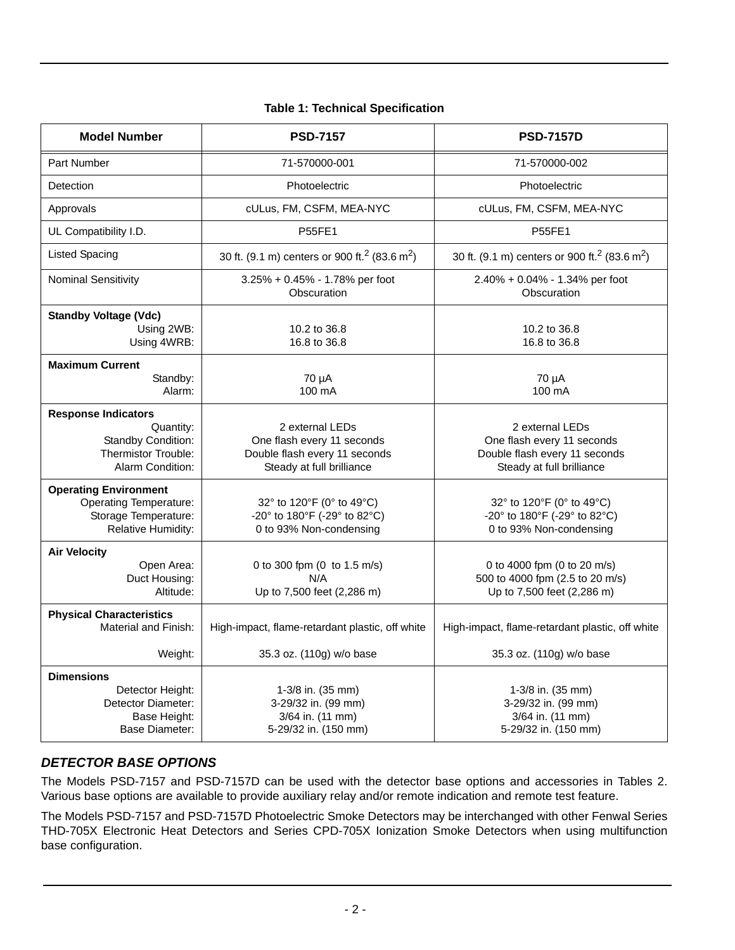| <b>Model Number</b>                                                                                             | <b>PSD-7157</b>                                                                                                                                                  | <b>PSD-7157D</b>                                                                                            |  |
|-----------------------------------------------------------------------------------------------------------------|------------------------------------------------------------------------------------------------------------------------------------------------------------------|-------------------------------------------------------------------------------------------------------------|--|
| Part Number                                                                                                     | 71-570000-001                                                                                                                                                    | 71-570000-002                                                                                               |  |
| Detection                                                                                                       | Photoelectric                                                                                                                                                    | Photoelectric                                                                                               |  |
| Approvals                                                                                                       | cULus, FM, CSFM, MEA-NYC                                                                                                                                         | cULus, FM, CSFM, MEA-NYC                                                                                    |  |
| UL Compatibility I.D.                                                                                           | <b>P55FE1</b>                                                                                                                                                    | <b>P55FE1</b>                                                                                               |  |
| <b>Listed Spacing</b>                                                                                           | 30 ft. (9.1 m) centers or 900 ft. <sup>2</sup> (83.6 m <sup>2</sup> )                                                                                            | 30 ft. (9.1 m) centers or 900 ft. <sup>2</sup> (83.6 m <sup>2</sup> )                                       |  |
| <b>Nominal Sensitivity</b>                                                                                      | 3.25% + 0.45% - 1.78% per foot<br>Obscuration                                                                                                                    | 2.40% + 0.04% - 1.34% per foot<br>Obscuration                                                               |  |
| <b>Standby Voltage (Vdc)</b><br>Using 2WB:<br>Using 4WRB:                                                       | 10.2 to 36.8<br>16.8 to 36.8                                                                                                                                     | 10.2 to 36.8<br>16.8 to 36.8                                                                                |  |
| <b>Maximum Current</b><br>Standby:<br>Alarm:                                                                    | 70 µA<br>100 mA                                                                                                                                                  | 70 µA<br>100 mA                                                                                             |  |
| <b>Response Indicators</b><br>Quantity:<br>Standby Condition:<br><b>Thermistor Trouble:</b><br>Alarm Condition: | 2 external LEDs<br>One flash every 11 seconds<br>Double flash every 11 seconds<br>Steady at full brilliance                                                      | 2 external LEDs<br>One flash every 11 seconds<br>Double flash every 11 seconds<br>Steady at full brilliance |  |
| <b>Operating Environment</b><br><b>Operating Temperature:</b><br>Storage Temperature:<br>Relative Humidity:     | 32° to 120°F (0° to 49°C)<br>-20° to 180°F (-29° to 82°C)<br>0 to 93% Non-condensing                                                                             | 32° to 120°F (0° to 49°C)<br>-20° to 180°F (-29° to 82°C)<br>0 to 93% Non-condensing                        |  |
| <b>Air Velocity</b><br>Open Area:<br>Duct Housing:<br>Altitude:                                                 | 0 to 4000 fpm (0 to 20 m/s)<br>0 to 300 fpm (0 to 1.5 m/s)<br>500 to 4000 fpm (2.5 to 20 m/s)<br>N/A<br>Up to 7,500 feet (2,286 m)<br>Up to 7,500 feet (2,286 m) |                                                                                                             |  |
| <b>Physical Characteristics</b><br><b>Material and Finish:</b>                                                  | High-impact, flame-retardant plastic, off white                                                                                                                  | High-impact, flame-retardant plastic, off white                                                             |  |
| Weight:                                                                                                         | 35.3 oz. (110g) w/o base                                                                                                                                         | 35.3 oz. (110g) w/o base                                                                                    |  |
| <b>Dimensions</b><br>Detector Height:<br>Detector Diameter:<br>Base Height:<br><b>Base Diameter:</b>            | 1-3/8 in. (35 mm)<br>3-29/32 in. (99 mm)<br>3/64 in. (11 mm)<br>5-29/32 in. (150 mm)                                                                             | 1-3/8 in. (35 mm)<br>3-29/32 in. (99 mm)<br>3/64 in. (11 mm)<br>5-29/32 in. (150 mm)                        |  |

### **Table 1: Technical Specification**

#### *DETECTOR BASE OPTIONS*

The Models PSD-7157 and PSD-7157D can be used with the detector base options and accessories in Tables 2. Various base options are available to provide auxiliary relay and/or remote indication and remote test feature.

The Models PSD-7157 and PSD-7157D Photoelectric Smoke Detectors may be interchanged with other Fenwal Series THD-705X Electronic Heat Detectors and Series CPD-705X Ionization Smoke Detectors when using multifunction base configuration.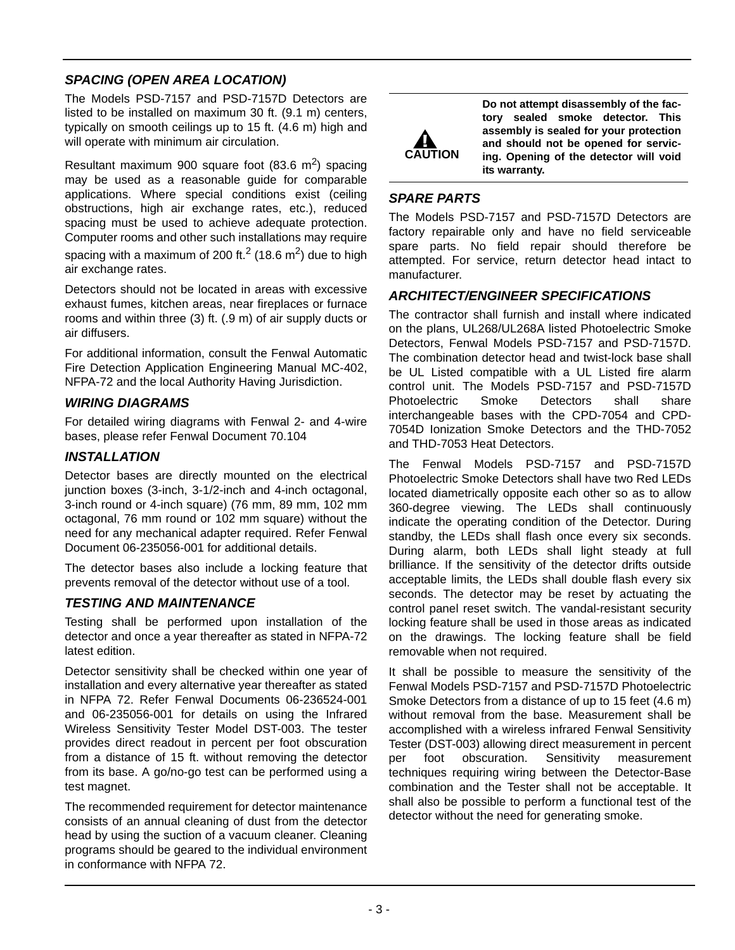# *SPACING (OPEN AREA LOCATION)*

The Models PSD-7157 and PSD-7157D Detectors are listed to be installed on maximum 30 ft. (9.1 m) centers, typically on smooth ceilings up to 15 ft. (4.6 m) high and will operate with minimum air circulation.

Resultant maximum 900 square foot  $(83.6 \text{ m}^2)$  spacing may be used as a reasonable guide for comparable applications. Where special conditions exist (ceiling obstructions, high air exchange rates, etc.), reduced spacing must be used to achieve adequate protection. Computer rooms and other such installations may require spacing with a maximum of 200 ft.<sup>2</sup> (18.6 m<sup>2</sup>) due to high air exchange rates.

Detectors should not be located in areas with excessive exhaust fumes, kitchen areas, near fireplaces or furnace rooms and within three (3) ft. (.9 m) of air supply ducts or air diffusers.

For additional information, consult the Fenwal Automatic Fire Detection Application Engineering Manual MC-402, NFPA-72 and the local Authority Having Jurisdiction.

#### *WIRING DIAGRAMS*

For detailed wiring diagrams with Fenwal 2- and 4-wire bases, please refer Fenwal Document 70.104

#### *INSTALLATION*

Detector bases are directly mounted on the electrical junction boxes (3-inch, 3-1/2-inch and 4-inch octagonal, 3-inch round or 4-inch square) (76 mm, 89 mm, 102 mm octagonal, 76 mm round or 102 mm square) without the need for any mechanical adapter required. Refer Fenwal Document 06-235056-001 for additional details.

The detector bases also include a locking feature that prevents removal of the detector without use of a tool.

#### *TESTING AND MAINTENANCE*

Testing shall be performed upon installation of the detector and once a year thereafter as stated in NFPA-72 latest edition.

Detector sensitivity shall be checked within one year of installation and every alternative year thereafter as stated in NFPA 72. Refer Fenwal Documents 06-236524-001 and 06-235056-001 for details on using the Infrared Wireless Sensitivity Tester Model DST-003. The tester provides direct readout in percent per foot obscuration from a distance of 15 ft. without removing the detector from its base. A go/no-go test can be performed using a test magnet.

The recommended requirement for detector maintenance consists of an annual cleaning of dust from the detector head by using the suction of a vacuum cleaner. Cleaning programs should be geared to the individual environment in conformance with NFPA 72.



**Do not attempt disassembly of the factory sealed smoke detector. This assembly is sealed for your protection and should not be opened for servicing. Opening of the detector will void its warranty.**

#### *SPARE PARTS*

The Models PSD-7157 and PSD-7157D Detectors are factory repairable only and have no field serviceable spare parts. No field repair should therefore be attempted. For service, return detector head intact to manufacturer.

#### *ARCHITECT/ENGINEER SPECIFICATIONS*

The contractor shall furnish and install where indicated on the plans, UL268/UL268A listed Photoelectric Smoke Detectors, Fenwal Models PSD-7157 and PSD-7157D. The combination detector head and twist-lock base shall be UL Listed compatible with a UL Listed fire alarm control unit. The Models PSD-7157 and PSD-7157D Photoelectric Smoke Detectors shall share interchangeable bases with the CPD-7054 and CPD-7054D Ionization Smoke Detectors and the THD-7052 and THD-7053 Heat Detectors.

The Fenwal Models PSD-7157 and PSD-7157D Photoelectric Smoke Detectors shall have two Red LEDs located diametrically opposite each other so as to allow 360-degree viewing. The LEDs shall continuously indicate the operating condition of the Detector. During standby, the LEDs shall flash once every six seconds. During alarm, both LEDs shall light steady at full brilliance. If the sensitivity of the detector drifts outside acceptable limits, the LEDs shall double flash every six seconds. The detector may be reset by actuating the control panel reset switch. The vandal-resistant security locking feature shall be used in those areas as indicated on the drawings. The locking feature shall be field removable when not required.

It shall be possible to measure the sensitivity of the Fenwal Models PSD-7157 and PSD-7157D Photoelectric Smoke Detectors from a distance of up to 15 feet (4.6 m) without removal from the base. Measurement shall be accomplished with a wireless infrared Fenwal Sensitivity Tester (DST-003) allowing direct measurement in percent per foot obscuration. Sensitivity measurement techniques requiring wiring between the Detector-Base combination and the Tester shall not be acceptable. It shall also be possible to perform a functional test of the detector without the need for generating smoke.